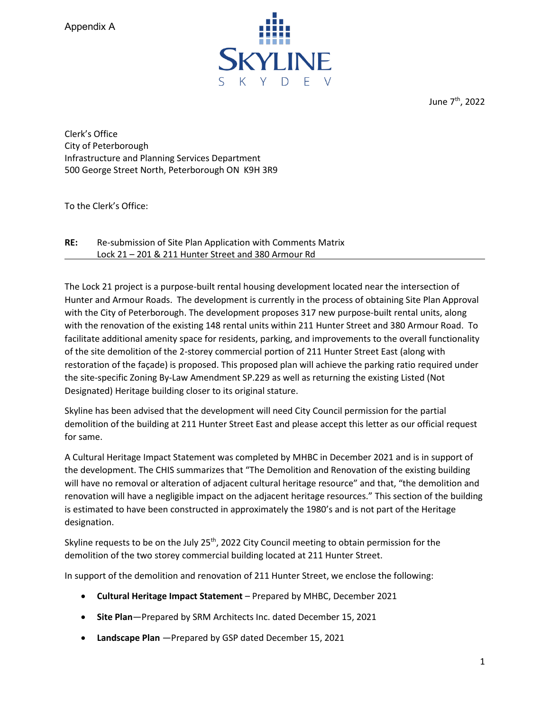

June 7th, 2022

Clerk's Office City of Peterborough Infrastructure and Planning Services Department 500 George Street North, Peterborough ON K9H 3R9

To the Clerk's Office:

 $RE:$ **RE:** Re-submission of Site Plan Application with Comments Matrix Lock 21 – 201 & 211 Hunter Street and 380 Armour Rd

The Lock 21 project is a purpose-built rental housing development located near the intersection of Hunter and Armour Roads. The development is currently in the process of obtaining Site Plan Approval with the City of Peterborough. The development proposes 317 new purpose-built rental units, along with the renovation of the existing 148 rental units within 211 Hunter Street and 380 Armour Road. To facilitate additional amenity space for residents, parking, and improvements to the overall functionality of the site demolition of the 2-storey commercial portion of 211 Hunter Street East (along with restoration of the façade) is proposed. This proposed plan will achieve the parking ratio required under the site-specific Zoning By-Law Amendment SP.229 as well as returning the existing Listed (Not Designated) Heritage building closer to its original stature.

Skyline has been advised that the development will need City Council permission for the partial demolition of the building at 211 Hunter Street East and please accept this letter as our official request for same.

 the development. The CHIS summarizes that "The Demolition and Renovation of the existing building A Cultural Heritage Impact Statement was completed by MHBC in December 2021 and is in support of will have no removal or alteration of adjacent cultural heritage resource" and that, "the demolition and renovation will have a negligible impact on the adjacent heritage resources." This section of the building is estimated to have been constructed in approximately the 1980's and is not part of the Heritage designation.

Skyline requests to be on the July  $25<sup>th</sup>$ , 2022 City Council meeting to obtain permission for the demolition of the two storey commercial building located at 211 Hunter Street.

In support of the demolition and renovation of 211 Hunter Street, we enclose the following:

- **Cultural Heritage Impact Statement**  Prepared by MHBC, December 2021
- **Site Plan**—Prepared by SRM Architects Inc. dated December 15, 2021
- **Landscape Plan** —Prepared by GSP dated December 15, 2021